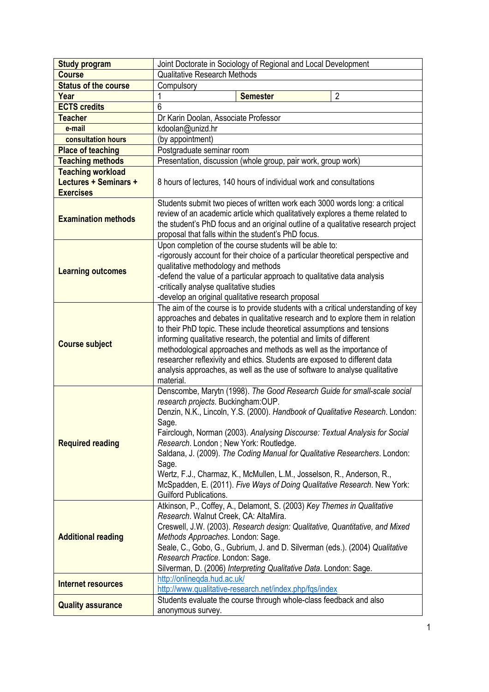| <b>Study program</b>        | Joint Doctorate in Sociology of Regional and Local Development                                                                                                                                                                                                                                                                                                                                                                                                                                                                                                                                                   |
|-----------------------------|------------------------------------------------------------------------------------------------------------------------------------------------------------------------------------------------------------------------------------------------------------------------------------------------------------------------------------------------------------------------------------------------------------------------------------------------------------------------------------------------------------------------------------------------------------------------------------------------------------------|
| <b>Course</b>               | <b>Qualitative Research Methods</b>                                                                                                                                                                                                                                                                                                                                                                                                                                                                                                                                                                              |
| <b>Status of the course</b> | Compulsory                                                                                                                                                                                                                                                                                                                                                                                                                                                                                                                                                                                                       |
| Year                        | $\overline{2}$<br><b>Semester</b>                                                                                                                                                                                                                                                                                                                                                                                                                                                                                                                                                                                |
| <b>ECTS credits</b>         | 6                                                                                                                                                                                                                                                                                                                                                                                                                                                                                                                                                                                                                |
| <b>Teacher</b>              | Dr Karin Doolan, Associate Professor                                                                                                                                                                                                                                                                                                                                                                                                                                                                                                                                                                             |
| e-mail                      | kdoolan@unizd.hr                                                                                                                                                                                                                                                                                                                                                                                                                                                                                                                                                                                                 |
| consultation hours          | (by appointment)                                                                                                                                                                                                                                                                                                                                                                                                                                                                                                                                                                                                 |
| <b>Place of teaching</b>    | Postgraduate seminar room                                                                                                                                                                                                                                                                                                                                                                                                                                                                                                                                                                                        |
| <b>Teaching methods</b>     | Presentation, discussion (whole group, pair work, group work)                                                                                                                                                                                                                                                                                                                                                                                                                                                                                                                                                    |
| <b>Teaching workload</b>    |                                                                                                                                                                                                                                                                                                                                                                                                                                                                                                                                                                                                                  |
| Lectures + Seminars +       | 8 hours of lectures, 140 hours of individual work and consultations                                                                                                                                                                                                                                                                                                                                                                                                                                                                                                                                              |
| <b>Exercises</b>            |                                                                                                                                                                                                                                                                                                                                                                                                                                                                                                                                                                                                                  |
| <b>Examination methods</b>  | Students submit two pieces of written work each 3000 words long: a critical<br>review of an academic article which qualitatively explores a theme related to<br>the student's PhD focus and an original outline of a qualitative research project<br>proposal that falls within the student's PhD focus.                                                                                                                                                                                                                                                                                                         |
| <b>Learning outcomes</b>    | Upon completion of the course students will be able to:<br>-rigorously account for their choice of a particular theoretical perspective and<br>qualitative methodology and methods<br>-defend the value of a particular approach to qualitative data analysis<br>-critically analyse qualitative studies<br>-develop an original qualitative research proposal                                                                                                                                                                                                                                                   |
| <b>Course subject</b>       | The aim of the course is to provide students with a critical understanding of key<br>approaches and debates in qualitative research and to explore them in relation<br>to their PhD topic. These include theoretical assumptions and tensions<br>informing qualitative research, the potential and limits of different<br>methodological approaches and methods as well as the importance of<br>researcher reflexivity and ethics. Students are exposed to different data<br>analysis approaches, as well as the use of software to analyse qualitative<br>material.                                             |
| <b>Required reading</b>     | Denscombe, Marytn (1998). The Good Research Guide for small-scale social<br>research projects. Buckingham: OUP.<br>Denzin, N.K., Lincoln, Y.S. (2000). Handbook of Qualitative Research. London:<br>Sage.<br>Fairclough, Norman (2003). Analysing Discourse: Textual Analysis for Social<br>Research. London; New York: Routledge.<br>Saldana, J. (2009). The Coding Manual for Qualitative Researchers. London:<br>Sage.<br>Wertz, F.J., Charmaz, K., McMullen, L.M., Josselson, R., Anderson, R.,<br>McSpadden, E. (2011). Five Ways of Doing Qualitative Research. New York:<br><b>Guilford Publications.</b> |
| <b>Additional reading</b>   | Atkinson, P., Coffey, A., Delamont, S. (2003) Key Themes in Qualitative<br>Research. Walnut Creek, CA: AltaMira.<br>Creswell, J.W. (2003). Research design: Qualitative, Quantitative, and Mixed<br>Methods Approaches. London: Sage.<br>Seale, C., Gobo, G., Gubrium, J. and D. Silverman (eds.). (2004) Qualitative<br>Research Practice. London: Sage.<br>Silverman, D. (2006) Interpreting Qualitative Data. London: Sage.<br>http://onlineqda.hud.ac.uk/                                                                                                                                                    |
| <b>Internet resources</b>   | http://www.qualitative-research.net/index.php/fqs/index                                                                                                                                                                                                                                                                                                                                                                                                                                                                                                                                                          |
|                             | Students evaluate the course through whole-class feedback and also                                                                                                                                                                                                                                                                                                                                                                                                                                                                                                                                               |
| <b>Quality assurance</b>    | anonymous survey.                                                                                                                                                                                                                                                                                                                                                                                                                                                                                                                                                                                                |